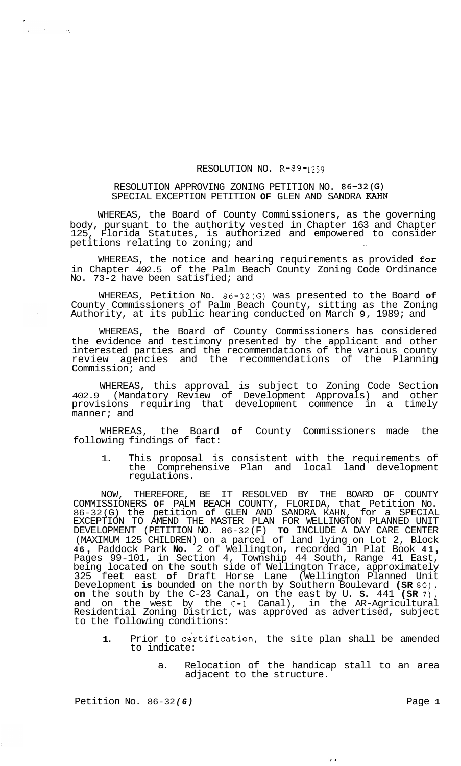## RESOLUTION NO. R-89-1259

## RESOLUTION APPROVING ZONING PETITION NO. 86-32(G) SPECIAL EXCEPTION PETITION **OF** GLEN AND SANDRA KAHN

WHEREAS, the Board of County Commissioners, as the governing body, pursuant to the authority vested in Chapter 163 and Chapter 125, Florida Statutes, is authorized and empowered to consider petitions relating to zoning; and

WHEREAS, the notice and hearing requirements as provided for in Chapter 402.5 of the Palm Beach County Zoning Code Ordinance No. 73-2 have been satisfied; and

WHEREAS, Petition No. 86-32(G) was presented to the Board **of**  County Commissioners of Palm Beach County, sitting as the Zoning Authority, at its public hearing conducted on March 9, 1989; and

WHEREAS, the Board of County Commissioners has considered the evidence and testimony presented by the applicant and other interested parties and the recommendations of the various county review agencies and the recommendations of the Planning Commission; and

WHEREAS, this approval is subject to Zoning Code Section 402.9 (Mandatory Review of Development Approvals) and other provisions requiring that development commence in a timely manner; and

WHEREAS, the Board **of** County Commissioners made the following findings of fact:

1. This proposal is consistent with the requirements of the Comprehensive Plan and local land development regulations.

NOW, THEREFORE, BE IT RESOLVED BY THE BOARD OF COUNTY COMMISSIONERS **OF** PALM BEACH COUNTY, FLORIDA, that Petition No. 86-32 (G) the petition **of** GLEN AND SANDRA KAHN, for a SPECIAL EXCEPTION TO AMEND THE MASTER PLAN FOR WELLINGTON PLANNED UNIT DEVELOPMENT (PETITION NO. 86-32 (F) **TO** INCLUDE A DAY CARE CENTER (MAXIMUM 125 CHILDREN) on a parcel of land lying on Lot 2, Block **<sup>46</sup>**, Paddock Park **No.** 2 of Wellington, recorded in Plat Book **41** , Pages 99-101, in Section 4, Township 44 South, Range 41 East, being located on the south side of Wellington Trace, approximately 325 feet east **of** Draft Horse Lane (Wellington Planned Unit Development **is** bounded on the north by Southern Boulevard **(SR** 80), **on** the south by the C-23 Canal, on the east by U. **S.** 441 **(SR 7),**  and on the west by the C-1 Canal), in the AR-Agricultural Residential Zoning District, was approved as advertised, subject to the following conditions:

- 1. Prior to certification, the site plan shall be amended to indicate:
	- a. Relocation of the handicap stall to an area adjacent to the structure.

 $\epsilon$   $\epsilon$ 

Petition No. 86-32(G) **Page 1 Page 1** 

n<br>Systematic Service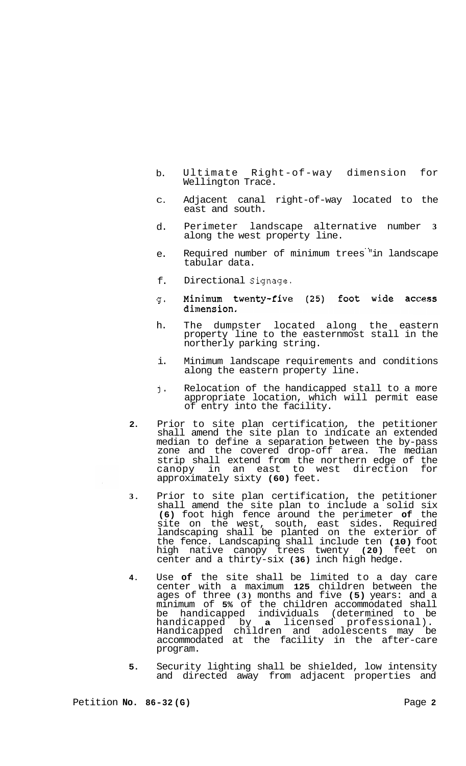- b. Ultimate Right-of-way dimension for Wellington Trace.
- C. Adjacent canal right-of-way located to the east and south.
- d. Perimeter landscape alternative number **3**  along the west property line.
- e. Required number of minimum trees "in landscape .. tabular data.
- f. Directional Signage.
- Minimum twenty-five (25) foot wide access g= dimension.
- h. The dumpster located along the eastern property line to the easternmost stall in the northerly parking string.
- i. Minimum landscape requirements and conditions along the eastern property line.
- j-Relocation of the handicapped stall to a more appropriate location, which will permit ease of entry into the facility.
- **2.**  Prior to site plan certification, the petitioner shall amend the site plan to indicate an extended median to define a separation between the by-pass zone and the covered drop-off area. The median strip shall extend from the northern edge of the<br>canopy in an east to west direction for canopy in an east to west direction approximately sixty **(60)** feet.
- **3.**  Prior to site plan certification, the petitioner shall amend the site plan to include a solid six **(6)** foot high fence around the perimeter **of** the site on the west, south, east sides. Required landscaping shall be planted on the exterior of the fence. Landscaping shall include ten **(10)** foot high native canopy trees twenty **(20)** feet on center and a thirty-six **(36)** inch high hedge.
- **4.**  Use **of** the site shall be limited to a day care center with a maximum **125** children between the ages of three **(3)** months and five **(5)** years: and a minimum of **5%** of the children accommodated shall be handicapped individuals (determined to be handicapped by **a** licensed professional). handicapped by **a** licensed professional).<br>Handicapped children and adolescents may be accommodated at the facility in the after-care program.
- **5.**  Security lighting shall be shielded, low intensity and directed away from adjacent properties and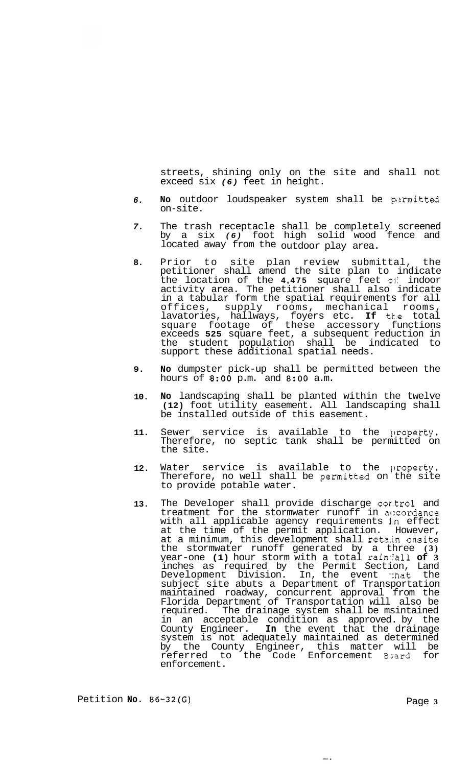streets, shining only on the site and shall not exceed six *(6)* feet in height.

- *6.*  No outdoor loudspeaker system shall be permitted on-site.
- *7.*  The trash receptacle shall be completely screened by a six *(6)* foot high solid wood fence and located away from the outdoor play area. ..
- **8.**  Prior to site plan review submittal, the petitioner shall amend the site plan to indicate the location of the **4,475** square feet oli indoor activity area. The petitioner shall also indicate in a tabular form the spatial requirements for all offices, supply rooms, mechanical rooms, lavatories, hallways, foyers etc. **If** tke total square footage of these accessory functions exceeds **525** square feet, a subsequent reduction in the student population shall be indicated to support these additional spatial needs.
- **9. No** dumpster pick-up shall be permitted between the hours of *8:OO* p.m. and **8:OO** a.m.
- **10. No** landscaping shall be planted within the twelve **(12)** foot utility easement. All landscaping shall be installed outside of this easement.
- **11.**  Sewer service is available to the property. Therefore, no septic tank shall be permitted on the site.
- **12.**  Water service is available to the property. Therefore, no well shall be permitted on the site to provide potable water.
- **13.**  The Developer shall provide discharge cor.tro1 and treatment for the stormwater runoff in accordance with all applicable agency requirements j.n effect at the time of the permit application. However, at a minimum, this development shall retain onsite the stormwater runoff generated by a three **(3)**  year-one **(1)** hour storm with a total rain::'all **of 3**  inches as required by the Permit Section, Land Development Division. In, the event that the subject site abuts a Department of Transportation maintained roadway, concurrent approval from the Florida Department of Transportation will also be required. The drainage system shall be msintained in an acceptable condition as approved. by the County Engineer. **In** the event that the drainage system is not adequately maintained as determined by the County Engineer, this matter will be referred to the Code Enforcement Board for enforcement.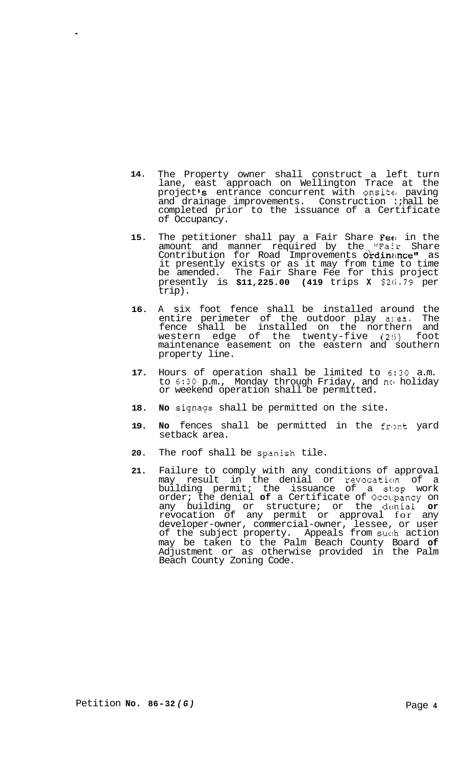- **14.**  The Property owner shall construct a left turn lane, east approach on Wellington Trace at the project **Is** entrance concurrent with onsitc: paving and drainage improvements. Construction : hall be completed prior to the issuance of a Certificate of Occupancy.
- **15.**  The petitioner shall pay a Fair Share Fee in the amount and manner required by the "Fair Share Contribution for Road Improvements Ordinance" as it presently exists or as it may from time to time be amended. The Fair Share Fee for this project presently is **\$11,225.00 (419** trips **X** *\$215.79* per trip).
- **16.**  A six foot fence shall be installed around the entire perimeter of the outdoor play area. The fence shall be installed on the northern and western edge of the twenty-five **(2!i)** foot maintenance easement on the eastern and southern property line.
- **17.**  Hours of operation shall be limited to **6:30** a.m. to *6:30* p.m., Monday through Friday, and ncl holiday or weekend operation shall be permitted.
- **18. No** signage shall be permitted on the site.
- **19.**  No fences shall be permitted in the front yard setback area.
- **20.**  The roof shall be spanish tile.
- **21.**  Failure to comply with any conditions of approval may result in the denial or revocaticm of a building permit; the issuance of a st:op work order; the denial **of** a Certificate of Occllpancy on any building or structure; or the denial **or**  revocation of any permit or approval for any developer-owner, commercial-owner, lessee, or user of the subject property. Appeals from suc:h action may be taken to the Palm Beach County Board **of**  Adjustment or as otherwise provided in the Palm Beach County Zoning Code.

.